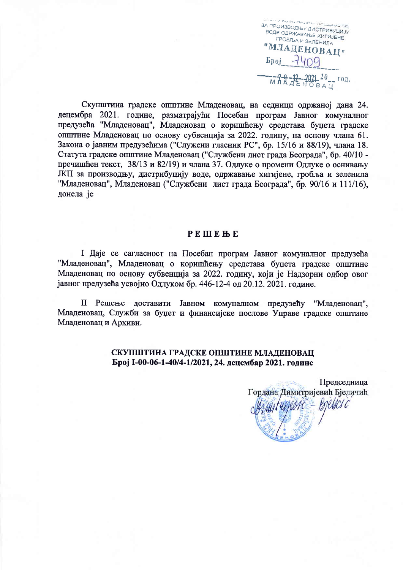**UNUMPRIM** ЗА ПРОИЗВОДЊУ ДИСТРИБУЦИЈУ **BOAE OAP KABAILE XULTUEHE** ГРОБЉА И ЗЕЛЕНИЛА "МЛАДЕНОВАЦ"  $Bpoj$   $7400$  $\begin{array}{ccccccccc}\n & -2 & -12 & -2021 & 20 & - & 021 \\
& M & A & A & E & H & 0 & B & A & U\n\end{array}$ 

Скупштина градске општине Младеновац, на седници одржаној дана 24. децембра 2021. године, разматрајући Посебан програм Јавног комуналног предузећа "Младеновац", Младеновац о коришћењу средстава буцета градске општине Младеновац по основу субвенција за 2022. годину, на основу члана 61. Закона о јавним предузећима ("Служени гласник РС", бр. 15/16 и 88/19), члана 18. Статута градске општине Младеновац ("Службени лист града Београда", бр. 40/10 пречишћен текст. 38/13 и 82/19) и члана 37. Одлуке о промени Одлуке о оснивању ЈКП за производњу, дистрибуцију воде, одржавање хигијене, гробља и зеленила "Младеновац", Младеновац ("Службени лист града Београда", бр. 90/16 и 111/16), донела је

### **PEWEBE**

І Даје се сагласност на Посебан програм Јавног комуналног предузећа "Младеновац", Младеновац о коришћењу средстава буџета градске општине Младеновац по основу субвенција за 2022. годину, који је Налзорни одбор овог јавног предузећа усвојио Одлуком бр. 446-12-4 од 20.12. 2021. године.

II Решење доставити Јавном комуналном предузећу "Младеновац", Младеновац, Служби за буџет и финансијске послове Управе градске општине Младеновац и Архиви.

### СКУПШТИНА ГРАДСКЕ ОПШТИНЕ МЛАДЕНОВАЦ Број I-00-06-1-40/4-1/2021, 24. децембар 2021. године

Предселница Гордана Димитријевић Бјеличић iturjeore - Bjelici c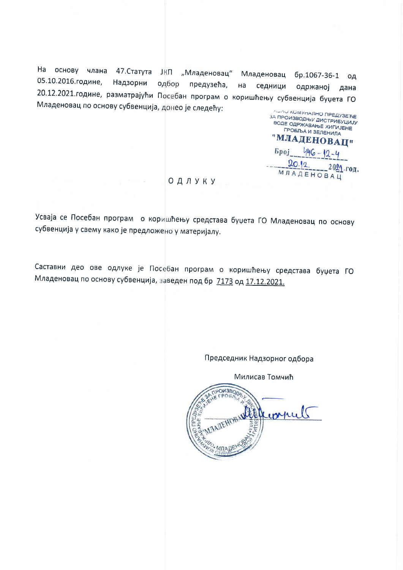На основу члана 47. Статута ЈКП "Младеновац" Младеновац бр.1067-36-1 од 05.10.2016.године, Надзорни одбор предузећа,  $Ha$ седници одржаној дана 20.12.2021. године, разматрајући Посебан програм о коришћењу субвенција буџета ГО Младеновац по основу субвенција, донео је следећу:

**ЛИЛИ КОМУНАЛНО ПРЕДУЗЕЋЕ** ЗА ПРОИЗВОДЊУ ДИСТРИБУЦИЈУ BODE ODP KABAH E XINTING PODE **TPOBJBA И ЗЕЛЕНИЛА** "МЛАДЕНОВАЦ" **Spoj** 446- $20.12$ 2021.год. **МЛАДЕНОВАЦ** 

#### |ОДЛУКУ

All College

Усваја се Посебан програм о коришћењу средстава буџета ГО Младеновац по основу субвенција у свему како је предложено у материјалу.

Саставни део ове одлуке је Посебан програм о коришћењу средстава буџета ГО Младеновац по основу субвенција, заведен под бр 7173 од 17.12.2021.

Председник Надзорног одбора

Милисав Томчић

OW3BOW multer compuls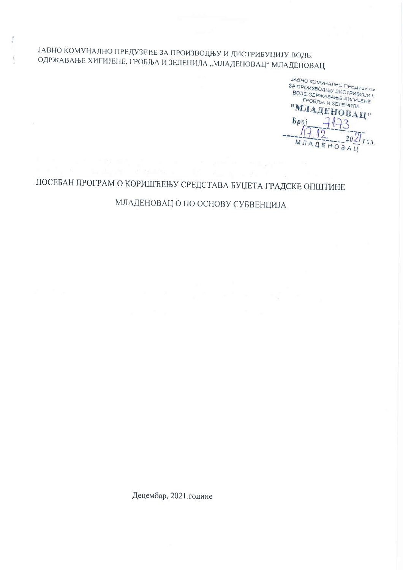# ЈАВНО КОМУНАЛНО ПРЕДУЗЕЋЕ ЗА ПРОИЗВОДЊУ И ДИСТРИБУЦИЈУ ВОДЕ, ОДРЖАВАЊЕ ХИГИЈЕНЕ, ГРОБЉА И ЗЕЛЕНИЛА "МЛАДЕНОВАЦ" МЛАДЕНОВАЦ

JABHO KOMYHAJIHO MPEAFOE NE SA ПРОИЗВОДНЫХ ДИСТРИБУЦИЈ ВОДЕ ОДРЖАВАЊЕ ХИГИЈЕНЕ **FPOSIBA И ЗЕЛЕНИЛА** "МЛАДЕНОВАЦ" **Epoj**  $20\frac{2}{\log 100}$ MЛ AEHOBAL

# ПОСЕБАН ПРОГРАМ О КОРИШЋЕЊУ СРЕДСТАВА БУЏЕТА ГРАДСКЕ ОПШТИНЕ

МЛАДЕНОВАЦ О ПО ОСНОВУ СУБВЕНЦИЈА

Децембар, 2021. године